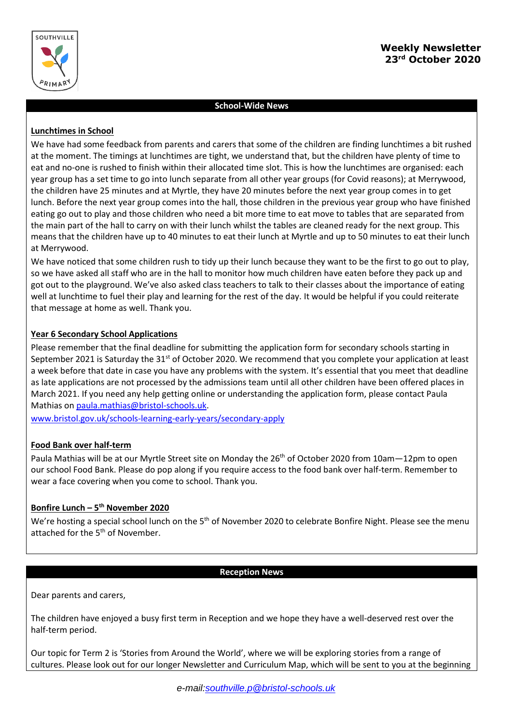

# **School-Wide News**

## **Lunchtimes in School**

We have had some feedback from parents and carers that some of the children are finding lunchtimes a bit rushed at the moment. The timings at lunchtimes are tight, we understand that, but the children have plenty of time to eat and no-one is rushed to finish within their allocated time slot. This is how the lunchtimes are organised: each year group has a set time to go into lunch separate from all other year groups (for Covid reasons); at Merrywood, the children have 25 minutes and at Myrtle, they have 20 minutes before the next year group comes in to get lunch. Before the next year group comes into the hall, those children in the previous year group who have finished eating go out to play and those children who need a bit more time to eat move to tables that are separated from the main part of the hall to carry on with their lunch whilst the tables are cleaned ready for the next group. This means that the children have up to 40 minutes to eat their lunch at Myrtle and up to 50 minutes to eat their lunch at Merrywood.

We have noticed that some children rush to tidy up their lunch because they want to be the first to go out to play, so we have asked all staff who are in the hall to monitor how much children have eaten before they pack up and got out to the playground. We've also asked class teachers to talk to their classes about the importance of eating well at lunchtime to fuel their play and learning for the rest of the day. It would be helpful if you could reiterate that message at home as well. Thank you.

# **Year 6 Secondary School Applications**

Please remember that the final deadline for submitting the application form for secondary schools starting in September 2021 is Saturday the  $31<sup>st</sup>$  of October 2020. We recommend that you complete your application at least a week before that date in case you have any problems with the system. It's essential that you meet that deadline as late applications are not processed by the admissions team until all other children have been offered places in March 2021. If you need any help getting online or understanding the application form, please contact Paula Mathias on [paula.mathias@bristol-schools.uk.](mailto:paula.mathias@bristol-schools.uk)

[www.bristol.gov.uk/schools-learning-early-years/secondary-apply](http://www.bristol.gov.uk/schools-learning-early-years/secondary-apply)

### **Food Bank over half-term**

Paula Mathias will be at our Myrtle Street site on Monday the 26<sup>th</sup> of October 2020 from 10am-12pm to open our school Food Bank. Please do pop along if you require access to the food bank over half-term. Remember to wear a face covering when you come to school. Thank you.

## **Bonfire Lunch – 5 th November 2020**

We're hosting a special school lunch on the 5<sup>th</sup> of November 2020 to celebrate Bonfire Night. Please see the menu attached for the 5<sup>th</sup> of November.

### **Reception News**

Dear parents and carers,

The children have enjoyed a busy first term in Reception and we hope they have a well-deserved rest over the half-term period.

Our topic for Term 2 is 'Stories from Around the World', where we will be exploring stories from a range of cultures. Please look out for our longer Newsletter and Curriculum Map, which will be sent to you at the beginning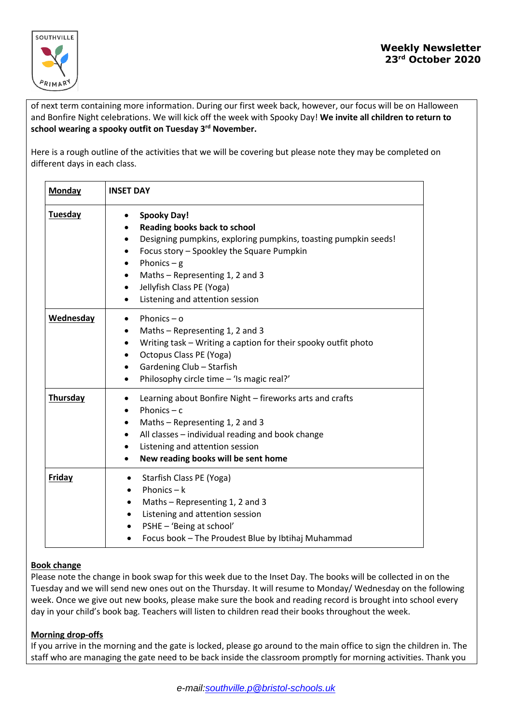

of next term containing more information. During our first week back, however, our focus will be on Halloween and Bonfire Night celebrations. We will kick off the week with Spooky Day! **We invite all children to return to school wearing a spooky outfit on Tuesday 3 rd November.**

Here is a rough outline of the activities that we will be covering but please note they may be completed on different days in each class.

| <b>Monday</b> | <b>INSET DAY</b>                                                                                                                                                                                                                                                                                                                                                                  |
|---------------|-----------------------------------------------------------------------------------------------------------------------------------------------------------------------------------------------------------------------------------------------------------------------------------------------------------------------------------------------------------------------------------|
| Tuesday       | <b>Spooky Day!</b><br>$\bullet$<br>Reading books back to school<br>$\bullet$<br>Designing pumpkins, exploring pumpkins, toasting pumpkin seeds!<br>$\bullet$<br>Focus story - Spookley the Square Pumpkin<br>$\bullet$<br>Phonics $-$ g<br>Maths - Representing 1, 2 and 3<br>$\bullet$<br>Jellyfish Class PE (Yoga)<br>$\bullet$<br>Listening and attention session<br>$\bullet$ |
| Wednesday     | Phonics $-$ o<br>$\bullet$<br>Maths - Representing 1, 2 and 3<br>$\bullet$<br>Writing task - Writing a caption for their spooky outfit photo<br>$\bullet$<br>Octopus Class PE (Yoga)<br>$\bullet$<br>Gardening Club - Starfish<br>$\bullet$<br>Philosophy circle time - 'Is magic real?'<br>$\bullet$                                                                             |
| Thursday      | Learning about Bonfire Night - fireworks arts and crafts<br>$\bullet$<br>Phonics $- c$<br>$\bullet$<br>Maths - Representing 1, 2 and 3<br>All classes - individual reading and book change<br>$\bullet$<br>Listening and attention session<br>$\bullet$<br>New reading books will be sent home<br>$\bullet$                                                                       |
| <b>Friday</b> | Starfish Class PE (Yoga)<br>٠<br>Phonics $- k$<br>$\bullet$<br>Maths - Representing 1, 2 and 3<br>$\bullet$<br>Listening and attention session<br>$\bullet$<br>PSHE - 'Being at school'<br>$\bullet$<br>Focus book - The Proudest Blue by Ibtihaj Muhammad<br>٠                                                                                                                   |

# **Book change**

Please note the change in book swap for this week due to the Inset Day. The books will be collected in on the Tuesday and we will send new ones out on the Thursday. It will resume to Monday/ Wednesday on the following week. Once we give out new books, please make sure the book and reading record is brought into school every day in your child's book bag. Teachers will listen to children read their books throughout the week.

### **Morning drop-offs**

If you arrive in the morning and the gate is locked, please go around to the main office to sign the children in. The staff who are managing the gate need to be back inside the classroom promptly for morning activities. Thank you